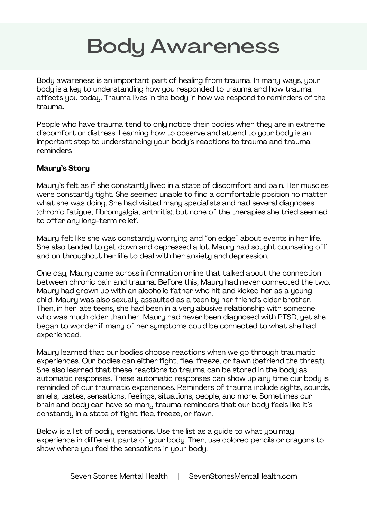## Body Awareness

Body awareness is an important part of healing from trauma. In many ways, your body is a key to understanding how you responded to trauma and how trauma affects you today. Trauma lives in the body in how we respond to reminders of the trauma.

People who have trauma tend to only notice their bodies when they are in extreme discomfort or distress. Learning how to observe and attend to your body is an important step to understanding your body's reactions to trauma and trauma reminders

## **Maury's Story**

Maury's felt as if she constantly lived in a state of discomfort and pain. Her muscles were constantly tight. She seemed unable to find a comfortable position no matter what she was doing. She had visited many specialists and had several diagnoses (chronic fatigue, fibromyalgia, arthritis), but none of the therapies she tried seemed to offer any long-term relief.

Maury felt like she was constantly worrying and "on edge" about events in her life. She also tended to get down and depressed a lot. Maury had sought counseling off and on throughout her life to deal with her anxiety and depression.

One day, Maury came across information online that talked about the connection between chronic pain and trauma. Before this, Maury had never connected the two. Maury had grown up with an alcoholic father who hit and kicked her as a young child. Maury was also sexually assaulted as a teen by her friend's older brother. Then, in her late teens, she had been in a very abusive relationship with someone who was much older than her. Maury had never been diagnosed with PTSD, yet she began to wonder if many of her symptoms could be connected to what she had experienced.

Maury learned that our bodies choose reactions when we go through traumatic experiences. Our bodies can either fight, flee, freeze, or fawn (befriend the threat). She also learned that these reactions to trauma can be stored in the body as automatic responses. These automatic responses can show up any time our body is reminded of our traumatic experiences. Reminders of trauma include sights, sounds, smells, tastes, sensations, feelings, situations, people, and more. Sometimes our brain and body can have so many trauma reminders that our body feels like it's constantly in a state of fight, flee, freeze, or fawn.

Below is a list of bodily sensations. Use the list as a guide to what you may experience in different parts of your body. Then, use colored pencils or crayons to show where you feel the sensations in your body.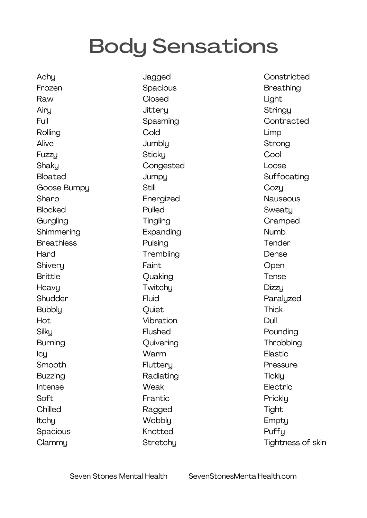## Body Sensations

**Achy** Frozen Raw Airy Full Rolling Alive Fuzzy **Shaky** Bloated Goose Bumpy **Sharp Blocked Gurgling Shimmering Breathless Hard Shivery** Brittle **Heavy Shudder Bubbly** Hot **Silky** Burning Icy Smooth Buzzing Intense Soft **Chilled Itchu** Spacious Clammy

Jagged **Spacious** Closed **Jittery** Spasming **Cold Jumbly Sticky** Congested **Jumpy Still** Energized Pulled **Tingling** Expanding Pulsing **Trembling** Faint Quaking **Twitchu Fluid Ouiet** Vibration Flushed **Quivering Warm Flutteru** Radiating Weak Frantic Ragged **Wobblu** Knotted **Stretchu** 

Constricted Breathing Light **Stringy Contracted** Limp Strong **Cool** Loose Suffocating **Cozy Nauseous Sweatu** Cramped Numb **Tender** Dense **Open** Tense **Dizzu Paralyzed Thick** Dull Pounding **Throbbing** Elastic Pressure **Tickly** Electric **Prickly** Tight **Emptu Puffu** Tightness of skin